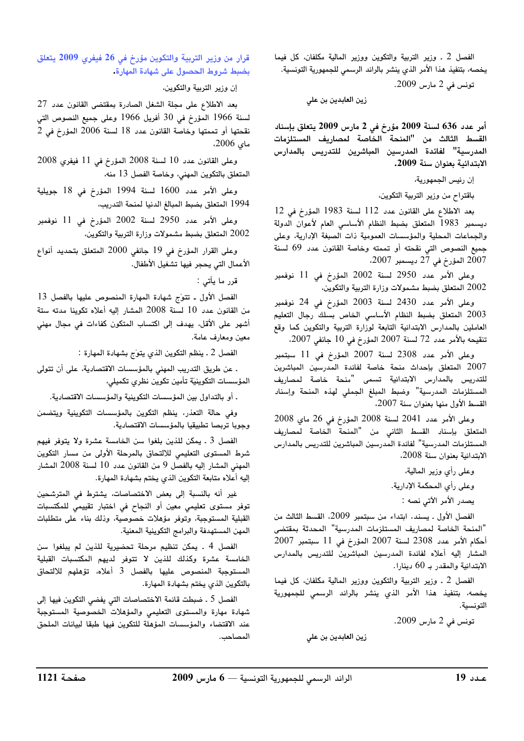الفصل 2 ـ وزير التربية والتكوين ووزير المالية مكلفان، كل فيما يخصه، بتنفيذ هذا الأمر الذي ينشر بالرائد الرسمي للجمهورية التونسية.

تونس في 2 مارس 2009.

زين العابدين بن علي

أمر عدد 636 لسنة 2009 مؤرخ في 2 مارس 2009 يتعلق بإسناد القسط الثالث من "المنحة الخاصة لمصاريف المستلزمات المدرسية" لفائدة المدرسين المباشرين للتدريس بالمدارس الابتدائية بعنوان سنة 2009.

إن رئيس الجمهورية،

باقتراح من وزير التربية التكوين،

بعد الاطلاع على القانون عدد 112 لسنة 1983 المؤرخ في 12 ديسمبر 1983 المتعلق بضبط النظام الأساسى العام لأعوان الدولة والجماعات المحلية والمؤسسات العمومية ذات الصبغة الإدارية، وعلى جميع النصوص التي نقحته أو تممته وخاصة القانون عدد 69 لسنة 2007 المؤرخ في 27 ديسمبر 2007،

وعلى الأمر عدد 2950 لسنة 2002 المؤرخ في 11 نوفمبر 2002 المتعلق بضبط مشمولات وزارة التربية والتكوين،

وعلى الأمر عدد 2430 لسنة 2003 المؤرخ في 24 نوفمبر 2003 المتعلق بضبط النظام الأساسي الخاص بسلك رجال التعليم العاملين بالمدارس الابتدائية التابعة لوزارة التربية والتكوين كما وقع تنقيحه بالأمر عدد 72 لسنة 2007 المؤرخ في 10 جانفي 2007،

وعلى الأمر عدد 2308 لسنة 2007 المؤرخ فى 11 سبتمبر 2007 المتعلق بإحداث منحة خاصة لفائدة المدرسين المباشرين للتدريس بالمدارس الابتدائية تسمى "منحة خاصة لمصاريف المستلزمات المدرسية" وضبط المبلغ الجملي لهذه المنحة وإسناد القسط الأول منها بعنوان سنة 2007.

وعلى الأمر عدد 2041 لسنة 2008 المؤرخ في 26 ماي 2008 المتعلق بإسناد القسط الثانى من "المنحة الخاصة لمصاريف المستلزمات المدرسية" لفائدة المدرسين المباشرين للتدريس بالمدارس الابتدائية بعنوان سنة 2008،

> وعلى رأى وزير المالية، وعلى رأى المحكمة الإدارية. يصدر الأمر الآتي نصه :

الفصل الأول . يسند، ابتداء من سبتمبر 2009، القسط الثالث من "المنحة الخاصة لمصاريف المستلزمات المدرسية" المحدثة بمقتضى أحكام الأمر عدد 2308 لسنة 2007 المؤرخ في 11 سبتمبر 2007 المشار إليه أعلاه لفائدة المدرسين المباشرين للتدريس بالمدارس الابتدائية والمقدر بـ 60 دينارا.

الفصل 2 ـ وزير التربية والتكوين ووزير المالية مكلفان، كل فيما يخصه، بتنفيذ هذا الأمر الذي ينشر بالرائد الرسمى للجمهورية التونسية.

زين العابدين بن علي

تونس في 2 مارس 2009.

قرار من وزير التربية والتكوين مؤرخ في 26 فيفري 2009 يتعلق بضبط شروط الحصول على شهادة المهارة.

إن وزير التربية والتكوين،

بعد الاطلاع على مجلة الشغل الصادرة بمقتضى القانون عدد 27 لسنة 1966 المؤرخ في 30 أفريل 1966 وعلى جميع النصوص التى نقحتها أو تممتها وخاصة القانون عدد 18 لسنة 2006 المؤرخ في 2 ماي 2006.

 $2008$  وعلى القانون عدد 10 لسنة 2008 المؤرخ في 11 فيفري 2008 المتعلق بالتكوين المهني، وخاصة الفصل 13 منه،

وعلى الأمر عدد 1600 لسنة 1994 المؤرخ فى 18 جويلية 1994 المتعلق بضبط المبالغ الدنيا لمنحة التدريب،

وعلى الأمر عدد 2950 لسنة 2002 المؤرخ في 11 نوفمبر 2002 المتعلق بضبط مشمولات وزارة التربية والتكوين،

وعلى القرار المؤرخ في 19 جانفي 2000 المتعلق بتحديد أنواع الأعمال التي يحجر فيها تشغيل الأطفال.

قرر ما يأتى :

الفصل الأول ـ تتوّج شهادة المهارة المنصوص عليها بالفصل 13 من القانون عدد 10 لسنة 2008 المشار إليه أعلاه تكوينا مدته ستة أشهر على الأقل، يهدف إلى اكتساب المتكون كفاءات فى مجال مهنى معين ومعارف عامة.

الفصل 2 . ينظم التكوين الذي يتوّج بشهادة المهارة :

. عن طريق التدريب المهني بالمؤسسات الاقتصادية، على أن تتولى المؤسسات التكوينيّة تأمين تكوين نظرى تكميلي،

. أو بالتداول بين المؤسسات التكوينية والمؤسسات الاقتصادية.

وفي حالة التعذر، ينظم التكوين بالمؤسسات التكوينية ويتضمن وجوبا تربصا تطبيقيا بالمؤسسات الاقتصادية.

الفصل 3 . يمكن للذين بلغوا سن الخامسة عشرة ولا يتوفر فيهم شرط المستوى التعليمي للالتحاق بالمرحلة الأولى من مسار التكوين المهنى المشار إليه بالفصل 9 من القانون عدد 10 لسنة 2008 المشار إليه أعلاه متابعة التكوين الذى يختم بشهادة المهارة.

غير أنه بالنسبة إلى بعض الاختصاصات، يشترط في المترشحين توفر مستوى تعليمي معين أو النجاح في اختبار تقييمي للمكتسبات القبلية المستوجبة، وتوفر مؤهلات خصوصية، وذلك بناء على متطلبات المهن المستهدفة والبرامج التكوينية المعنية.

الفصل 4 . يمكن تنظيم مرحلة تحضيرية للذين لم يبلغوا سن الخامسة عشرة وكذلك للذين لا تتوفر لديهم المكتسبات القبلية المستوجبة المنصوص عليها بالفصل 3 أعلاه، تؤهلهم للالتحاق بالتكوين الذى يختم بشهادة المهارة.

الفصل 5 ـ ضبطت قائمة الاختصاصات التي يفضي التكوين فيها إلى شهادة مهارة والمستوى التعليمي والمؤهلات الخصوصية المستوجبة عند الاقتضاء والمؤسسات المؤهلة للتكوين فيها طبقا لبيانات الملحق المصاحب.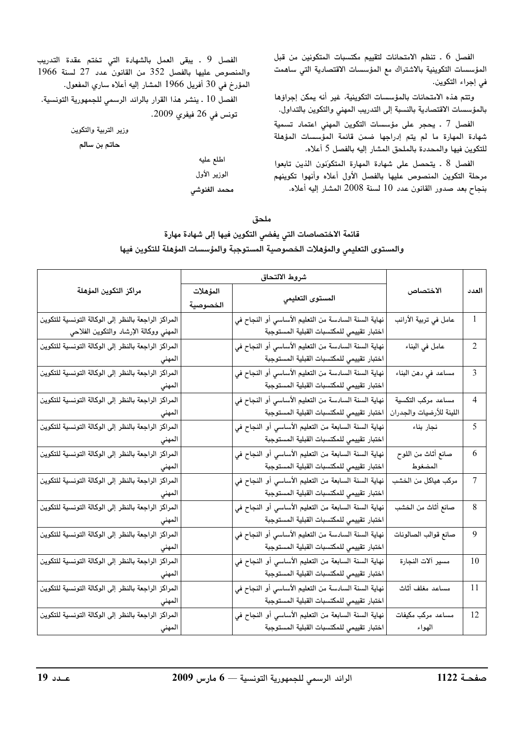الفصل 6 . تنظم الامتحانات لتقييم مكتسبات المتكونين من قبل المؤسسات التكوينية بالاشتراك مع المؤسسات الاقتصادية التي ساهمت في إجراء التكوين.

وتتم هذه الامتحانات بالمؤسسات التكوينية، غير أنه يمكن إجراؤها بالمؤسسات الاقتصادية بالنسبة إلى التدريب المهني والتكوين بالتداول.

الفصل 7 . يحجر على مؤسسات التكوين المهنى اعتماد تسمية شهادة المهارة ما لم يتم إدراجها ضمن قائمة المؤسسات المؤهلة للتكوين فيها والمحددة بالملحق المشار إليه بالفصل 5 أعلاه.

الفصل 8 . يتحصل على شهادة المهارة المتكوّنون الذين تابعوا مرحلة التكوين المنصوص عليها بالفصل الأول أعلاه وأنهوا تكوينهم بنجاح بعد صدور القانون عدد 10 لسنة 2008 المشار إليه أعلاه.

الفصل 9 . يبقى العمل بالشهادة التى تختم عقدة التدريب والمنصوص عليها بالفصل 352 من القانون عدد 27 لسنة 1966 المؤرخ في 30 أفريل 1966 المشار إليه أعلاه سارى المفعول. الفصل 10 . ينشر هذا القرار بالرائد الرسمي للجمهورية التونسية. تونس في 26 فيفري 2009.

وزير التربية والتكوين

حاتم بن سالم

اطلع عليه الوزير الأول محمد الغنوشى

## ملحق

## قائمة الاختصاصات التي يفضي التكوين فيها إلى شهادة مهارة والمستوى التعليمي والمؤهلات الخصوصية المستوجبة والمؤسسات المؤهلة للتكوين فيها

|                                                     | شروط الالتحاق |                                                     |                          |                |
|-----------------------------------------------------|---------------|-----------------------------------------------------|--------------------------|----------------|
| مراكز التكوين المؤهلة                               | المؤهلات      |                                                     | الاختصاص                 | العدد          |
|                                                     | الخصوصية      | المستوى التعليمي                                    |                          |                |
| المراكز الراجعة بالنظر إلى الوكالة التونسية للتكوين |               | نهاية السنة السادسة من التعليم الأساسي أو النجاح في | عامل في تربية الأرانب    | 1              |
| المهني ووكالة الإرشاد والتكوين الفلاحي              |               | اختبار تقييمي للمكتسبات القبلية المستوجبة           |                          |                |
| المراكز الراجعة بالنظر إلى الوكالة التونسية للتكوين |               | نهاية السنة السادسة من التعليم الأساسي أو النجاح في | عامل في البناء           | $\overline{2}$ |
| المهني                                              |               | اختبار تقييمي للمكتسبات القبلية المستوجبة           |                          |                |
| المراكز الراجعة بالنظر إلى الوكالة التونسية للتكوين |               | نهاية السنة السادسة من التعليم الأساسي أو النجاح في | مساعد في دهن البناء      | 3              |
| المهني                                              |               | اختبار تقييمي للمكتسبات القبلية المستوجبة           |                          |                |
| المراكز الراجعة بالنظر إلى الوكالة التونسية للتكوين |               | نهاية السنة السادسة من التعليم الأساسي أو النجاح في | مساعد مركب التكسية       | 4              |
| المهني                                              |               | اختبار تقييمي للمكتسبات القبلية المستوجبة           | اللينة للأرضيات والجدران |                |
| المراكز الراجعة بالنظر إلى الوكالة التونسية للتكوين |               | نهاية السنة السابعة من التعليم الأساسي أو النجاح فى | نجار بناء                | 5              |
| المهني                                              |               | اختبار تقييمي للمكتسبات القبلية المستوجبة           |                          |                |
| المراكز الراجعة بالنظر إلى الوكالة التونسية للتكوين |               | نهاية السنة السابعة من التعليم الأساسي أو النجاح في | صانع أثاث من اللوح       | 6              |
| المهني                                              |               | اختبار تقييمي للمكتسبات القبلية المستوجبة           | المضغوط                  |                |
| المراكز الراجعة بالنظر إلى الوكالة التونسية للتكوين |               | نهاية السنة السابعة من التعليم الأساسي أو النجاح في | مركب هياكل من الخشب      | 7              |
| المهني                                              |               | اختبار تقييمي للمكتسبات القبلية المستوجبة           |                          |                |
| المراكز الراجعة بالنظر إلى الوكالة التونسية للتكوين |               | نهاية السنة السابعة من التعليم الأساسي أو النجاح في | صانع أثاث من الخشب       | 8              |
| المهني                                              |               | اختبار تقييمي للمكتسبات القبلية المستوجبة           |                          |                |
| المراكز الراجعة بالنظر إلى الوكالة التونسية للتكوين |               | نهاية السنة السادسة من التعليم الأساسي أو النجاح في | صانع قوالب الصالونات     | 9              |
| المهني                                              |               | اختبار تقييمي للمكتسبات القبلية المستوجبة           |                          |                |
| المراكز الراجعة بالنظر إلى الوكالة التونسية للتكوين |               | نهاية السنة السابعة من التعليم الأساسي أو النجاح في | مسير ألات النجارة        | 10             |
| المهني                                              |               | اختبار تقييمي للمكتسبات القبلية المستوجبة           |                          |                |
| المراكز الراجعة بالنظر إلى الوكالة التونسية للتكوين |               | نهاية السنة السادسة من التعليم الأساسي أو النجاح في | مساعد مغلف أثاث          | 11             |
| المهني                                              |               | اختبار تقييمي للمكتسبات القبلية المستوجبة           |                          |                |
| المراكز الراجعة بالنظر إلى الوكالة التونسية للتكوين |               | نهاية السنة السابعة من التعليم الأساسي أو النجاح في | مساعد مركب مكيفات        | 12             |
| المهني                                              |               | اختبار تقييمي للمكتسبات القبلية المستوجبة           | الهواء                   |                |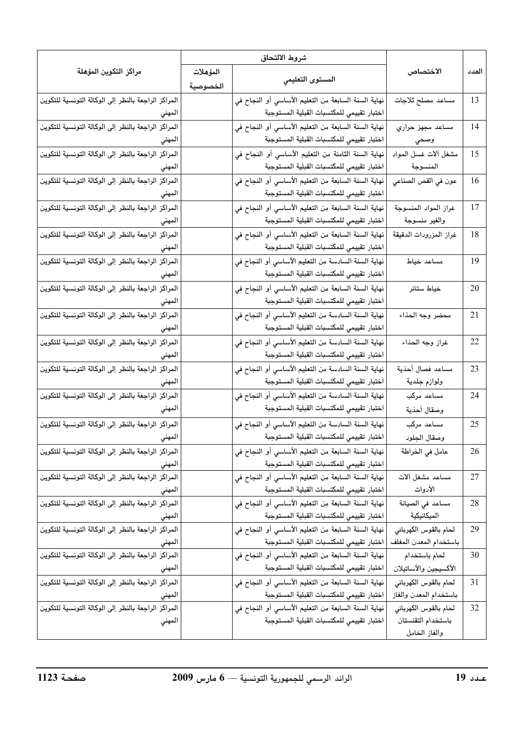|                                                               | شروط الالتحاق |                                                                                                  |                                                 |       |
|---------------------------------------------------------------|---------------|--------------------------------------------------------------------------------------------------|-------------------------------------------------|-------|
| مراكز التكوين المؤهلة                                         | المؤهلات      |                                                                                                  | الاختصاص                                        | العدد |
|                                                               | الخصوصية      | المستوى التعليمى                                                                                 |                                                 |       |
| المراكز الراجعة بالنظر إلى الوكالة التونسية للتكوين           |               | نهاية السنة السابعة من التعليم الأساسي أو النجاح في                                              | مساعد مصلح ثلاجات                               | 13    |
| المهني                                                        |               | اختبار تقييمي للمكتسبات القبلية المستوجبة                                                        |                                                 |       |
| الراجعة بالنظر إلى الوكالة التونسية للتكوين<br>المراكز        |               | نهاية السنة السابعة من التعليم الأساسي أو النجاح في                                              | مساعد مجهز حراري                                | 14    |
| المهني                                                        |               | اختبار تقييمي للمكتسبات القبلية المستوجبة                                                        | وصحي                                            |       |
| المراكز الراجعة بالنظر إلى الوكالة التونسية للتكوين           |               | نهاية السنة الثامنة من التعليم الأساسى أو النجاح في                                              | مشغل ألات غسل المواد                            | 15    |
| المهني                                                        |               | اختبار تقييمي للمكتسبات القبلية المستوجبة                                                        | المنسوجة                                        |       |
| الراجعة بالنظر إلى الوكالة التونسية للتكوين<br>المراكز        |               | نهاية السنة السابعة من التعليم الأساسي أو النجاح في                                              | عون في القص الصناعي                             | 16    |
| المهني                                                        |               | اختبار تقييمي للمكتسبات القبلية المستوجبة                                                        |                                                 |       |
| المراكز الراجعة بالنظر إلى الوكالة التونسية للتكوين           |               | نهاية السنة السابعة من التعليم الأساسي أو النجاح في                                              | غراز المواد المنسوجة                            | 17    |
| المهني                                                        |               | اختبار تقييمي للمكتسبات القبلية المستوجبة                                                        | والغير منسوجة                                   |       |
| المراكز الراجعة بالنظر إلى الوكالة التونسية للتكوين           |               | نهاية السنة السابعة من التعليم الأساسي أو النجاح في                                              | غراز المزرودات الدقيقة                          | 18    |
| المهني                                                        |               | اختبار تقييمي للمكتسبات القبلية المستوجبة                                                        |                                                 |       |
| المراكز الراجعة بالنظر إلى الوكالة التونسية للتكوين           |               | نهاية السنة السادسة من التعليم الأساسي أو النجاح في                                              | مساعد خياط                                      | 19    |
| المهني                                                        |               | اختبار تقييمي للمكتسبات القبلية المستوجبة                                                        |                                                 |       |
| المراكز الراجعة بالنظر إلى الوكالة التونسية للتكوين           |               | نهاية السنة السابعة من التعليم الأساسي أو النجاح في                                              | خياط ستائر                                      | 20    |
| المهني                                                        |               | اختبار تقييمي للمكتسبات القبلية المستوجبة                                                        |                                                 |       |
| الراجعة بالنظر إلى الوكالة التونسية للتكوين<br>المراكز        |               | نهاية السنة السادسة من التعليم الأساسي أو النجاح في                                              | محضر وجه الحذاء                                 | 21    |
| المهني                                                        |               | اختبار تقييمي للمكتسبات القبلية المستوجبة                                                        |                                                 |       |
| المراكز الراجعة بالنظر إلى الوكالة التونسية للتكوين           |               | نهاية السنة السادسة من التعليم الأساسى أو النجاح في                                              | غراز وجه الحذاء                                 | 22    |
| المهني                                                        |               | اختبار تقييمي للمكتسبات القبلية المستوجبة                                                        |                                                 |       |
| الراجعة بالنظر إلى الوكالة التونسية للتكوين<br>المراكز        |               | نهاية السنة السادسة من التعليم الأساسى أو النجاح في                                              | مساعد فصال أحذية                                | 23    |
| المهني                                                        |               | اختبار تقييمي للمكتسبات القبلية المستوجبة                                                        | ولوازم جلدية                                    |       |
| المراكز الراجعة بالنظر إلى الوكالة التونسية للتكوين           |               | نهاية السنة السادسة من التعليم الأساسي أو النجاح في                                              | مساعد مرکب                                      | 24    |
| المهني                                                        |               | اختبار تقييمي للمكتسبات القبلية المستوجبة                                                        | وصقال أحذية                                     |       |
| المراكز الراجعة بالنظر إلى الوكالة التونسية للتكوين           |               | نهاية السنة السادسة من التعليم الأساسي أو النجاح في                                              | مساعد مرکب                                      | 25    |
| المهني                                                        |               | اختبار تقييمي للمكتسبات القبلية المستوجبة                                                        | وصقال الجلود                                    |       |
| المراكز الراجعة بالنظر إلى الوكالة التونسية للتكوين           |               | نهاية السنة السابعة من التعليم الأساسى أو النجاح في                                              | عامل في الخراطة                                 | 26    |
| المهني                                                        |               | اختبار تقييمي للمكتسبات القبلية المستوجبة                                                        |                                                 |       |
| المراكز الراجعة بالنظر إلى الوكالة التونسية للتكوين           |               | نهاية السنة السابعة من التعليم الأساسي أو النجاح في                                              | مساعد مشغل ألات                                 | 27    |
| المهني                                                        |               | اختبار تقييمي للمكتسبات القبلية المستوجبة                                                        | الأدوات                                         |       |
| المراكز الراجعة بالنظر إلى الوكالة التونسية للتكوين           |               | نهاية السنة السابعة من التعليم الأساسي أو النجاح في                                              | مساعد في الصيانة                                | 28    |
| المهني                                                        |               | اختبار تقييمي للمكتسبات القبلية المستوجبة                                                        | الميكانيكية                                     | 29    |
| المراكز الراجعة بالنظر إلى الوكالة التونسية للتكوين           |               | نهاية السنة السابعة من التعليم الأساسي أو النجاح في<br>اختبار تقييمي للمكتسبات القبلية المستوجبة | لحام بالقوس الكهربائي<br>باستخدام المعدن المغلف |       |
| المهني<br>المراكز الراجعة بالنظر إلى الوكالة التونسية للتكوين |               | نهاية السنة السابعة من التعليم الأساسى أو النجاح فى                                              | لحام باستخدام                                   | 30    |
| المهني                                                        |               | اختبار تقييمي للمكتسبات القبلية المستوجبة                                                        | الأكسيجين والأساتيلان                           |       |
| المراكز الراجعة بالنظر إلى الوكالة التونسية للتكوين           |               | نهاية السنة السابعة من التعليم الأساسي أو النجاح في                                              | لحام بالقوس الكهربائي                           | 31    |
| المهني                                                        |               | اختبار تقييمي للمكتسبات القبلية المستوجبة                                                        | باستخدام المعدن والغاز                          |       |
| المراكز الراجعة بالنظر إلى الوكالة التونسية للتكوين           |               | نهاية السنة السابعة من التعليم الأساسى أو النجاح في                                              | لحام بالقوس الكهربائي                           | 32    |
| المهني                                                        |               | اختبار تقييمي للمكتسبات القبلية المستوجبة                                                        | باستخدام التقنستان                              |       |
|                                                               |               |                                                                                                  | والغاز الخامل                                   |       |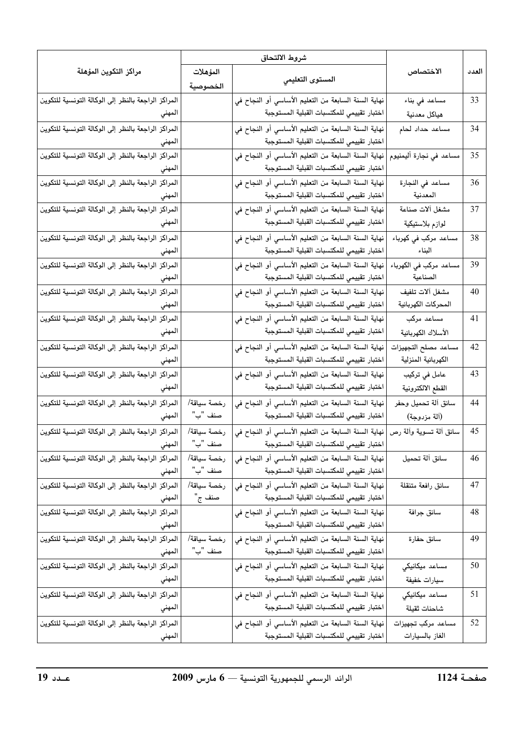|                                                        |             | شروط الالتحاق                                       |                             |       |
|--------------------------------------------------------|-------------|-----------------------------------------------------|-----------------------------|-------|
| مراكز التكوين المؤهلة                                  | المؤهلات    |                                                     | الاختصاص                    | العدد |
|                                                        | الخصوصية    | المستوى التعليمي                                    |                             |       |
| المراكز الراجعة بالنظر إلى الوكالة التونسية للتكوين    |             | نهاية السنة السابعة من التعليم الأساسي أو النجاح في | مساعد في بناء               | 33    |
| المهني                                                 |             | اختبار تقييمي للمكتسبات القبلية المستوجبة           | هياكل معدنية                |       |
| المراكز الراجعة بالنظر إلى الوكالة التونسية للتكوين    |             | نهاية السنة السابعة من التعليم الأساسي أو النجاح في | مساعد حداد لحام             | 34    |
| المهني                                                 |             | اختبار تقييمي للمكتسبات القبلية المستوجبة           |                             |       |
| المراكز الراجعة بالنظر إلى الوكالة التونسية للتكوين    |             | نهاية السنة السابعة من التعليم الأساسي أو النجاح في | مساعد في نجارة أليمنيوم     | 35    |
| المهني                                                 |             | اختبار تقييمي للمكتسبات القبلية المستوجبة           |                             |       |
| المراكز الراجعة بالنظر إلى الوكالة التونسية للتكوين    |             | نهاية السنة السابعة من التعليم الأساسي أو النجاح في | مساعد في النجارة            | 36    |
| المهني                                                 |             | اختبار تقييمي للمكتسبات القبلية المستوجبة           | المعدنية                    |       |
| المراكز الراجعة بالنظر إلى الوكالة التونسية للتكوين    |             | نهاية السنة السابعة من التعليم الأساسي أو النجاح في | مشغل ألات صناعة             | 37    |
| المهني                                                 |             | اختبار تقييمي للمكتسبات القبلية المستوجبة           | لوازم بلاستيكية             |       |
| المراكز الراجعة بالنظر إلى الوكالة التونسية للتكوين    |             | نهاية السنة السابعة من التعليم الأساسى أو النجاح في | مساعد مركب في كهرباء        | 38    |
| المهني                                                 |             | اختبار تقييمي للمكتسبات القبلية المستوجبة           | البناء                      |       |
| الراجعة بالنظر إلى الوكالة التونسية للتكوين<br>المراكز |             | نهاية السنة السابعة من التعليم الأساسي أو النجاح في | ۔<br>مساعد مرکب في الکھرباء | 39    |
| المهني                                                 |             | اختبار تقييمي للمكتسبات القبلية المستوجبة           | الصناعية                    |       |
| المراكز الراجعة بالنظر إلى الوكالة التونسية للتكوين    |             | نهاية السنة السابعة من التعليم الأساسي أو النجاح في | مشغل آلات تلفيف             | 40    |
| المهني                                                 |             | اختبار تقييمي للمكتسبات القبلية المستوجبة           | المحركات الكهربائية         |       |
| المراكز الراجعة بالنظر إلى الوكالة التونسية للتكوين    |             | نهاية السنة السابعة من التعليم الأساسي أو النجاح في | مساعد مرکب                  | 41    |
| المهني                                                 |             | اختبار تقييمي للمكتسبات القبلية المستوجبة           | الأسلاك الكهربائية          |       |
| المراكز الراجعة بالنظر إلى الوكالة التونسية للتكوين    |             | نهاية السنة السابعة من التعليم الأساسي أو النجاح في | مساعد مصلح التجهيزات        | 42    |
| المهني                                                 |             | اختبار تقييمي للمكتسبات القبلية المستوجبة           | الكهربائية المنزلية         |       |
| المراكز الراجعة بالنظر إلى الوكالة التونسية للتكوين    |             | نهاية السنة السابعة من التعليم الأساسي أو النجاح في | عامل في تركيب               | 43    |
| المهني                                                 |             | اختبار تقييمي للمكتسبات القبلية المستوجبة           | القطع الالكترونية           |       |
| المراكز الراجعة بالنظر إلى الوكالة التونسية للتكوين    | رخصة سياقة/ | نهاية السنة السابعة من التعليم الأساسي أو النجاح في | سائق ألة تحميل وحفر         | 44    |
| المهني                                                 | صنف "ب"     | اختبار تقييمي للمكتسبات القبلية المستوجبة           | (آلة مزدوجة)                |       |
| المراكز الراجعة بالنظر إلى الوكالة التونسية للتكوين    | رخصة سياقة/ | نهاية السنة السابعة من التعليم الأساسي أو النجاح في | سائق ألة تسوية وألة رص      | 45    |
| المهني                                                 | صنف "ب"     | اختبار تقييمي للمكتسبات القبلية المستوجبة           |                             |       |
| المراكز الراجعة بالنظر إلى الوكالة التونسية للتكوين    | رخصة سياقة/ | نهاية السنة السابعة من التعليم الأساسى أو النجاح في | سائق آلة تحميل              | 46    |
| المهني                                                 | صنف "ب"     | اختبار تقييمي للمكتسبات القبلية المستوجبة           |                             |       |
| المراكز الراجعة بالنظر إلى الوكالة التونسية للتكوين    | رخصة سياقة/ | نهاية السنة السابعة من التعليم الأساسي أو النجاح في | سائق رافعة متنقلة           | 47    |
| المهني                                                 | صنف ج"      | اختبار تقييمي للمكتسبات القبلية المستوجبة           |                             |       |
| المراكز الراجعة بالنظر إلى الوكالة التونسية للتكوين    |             | نهاية السنة السابعة من التعليم الأساسي أو النجاح في | سائق جرافة                  | 48    |
| المهني                                                 |             | اختبار تقييمي للمكتسبات القبلية المستوجبة           |                             |       |
| المراكز الراجعة بالنظر إلى الوكالة التونسية للتكوين    | رخصة سياقة/ | نهاية السنة السابعة من التعليم الأساسي أو النجاح في | سائق حفارة                  | 49    |
| المهني                                                 | صنف "ب"     | اختبار تقييمي للمكتسبات القبلية المستوجبة           |                             |       |
| المراكز الراجعة بالنظر إلى الوكالة التونسية للتكوين    |             | نهاية السنة السابعة من التعليم الأساسي أو النجاح في | مساعد ميكانيكى              | 50    |
| المهني                                                 |             | اختبار تقييمي للمكتسبات القبلية المستوجبة           | سيارات خفيفة                |       |
| المراكز الراجعة بالنظر إلى الوكالة التونسية للتكوين    |             | نهاية السنة السابعة من التعليم الأساسي أو النجاح في | مساعد ميكانيكى              | 51    |
| المهني                                                 |             | اختبار تقييمي للمكتسبات القبلية المستوجبة           | شاحنات ثقيلة                |       |
| المراكز الراجعة بالنظر إلى الوكالة التونسية للتكوين    |             | نهاية السنة السابعة من التعليم الأساسي أو النجاح في | مساعد مركب تجهيزات          | 52    |
| المهني                                                 |             | اختبار تقييمي للمكتسبات القبلية المستوجبة           | الغاز بالسيارات             |       |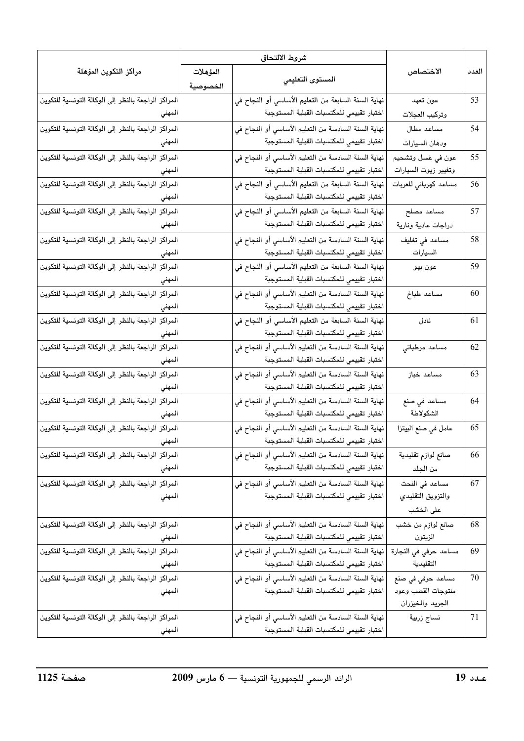|                                                                  |                      | شروط الالتحاق                                                                                    |                                                             |       |
|------------------------------------------------------------------|----------------------|--------------------------------------------------------------------------------------------------|-------------------------------------------------------------|-------|
| مراكز التكوين المؤهلة                                            | المؤهلات<br>الخصوصية | المستوى التعليمي                                                                                 | الاختصاص                                                    | العدد |
| المراكز الراجعة بالنظر إلى الوكالة التونسية للتكوين<br>المهني    |                      | نهاية السنة السابعة من التعليم الأساسي أو النجاح في<br>اختبار تقييمي للمكتسبات القبلية المستوجبة | عون تعهد<br>وتركيب العجلات                                  | 53    |
| المراكز الراجعة بالنظر إلى الوكالة التونسية للتكوين<br>المهني    |                      | نهاية السنة السادسة من التعليم الأساسي أو النجاح في<br>اختبار تقييمي للمكتسبات القبلية المستوجبة | مساعد مطال<br>ودهان السيارات                                | 54    |
| المراكز الراجعة بالنظر إلى الوكالة التونسية للتكوين<br>المهني    |                      | نهاية السنة السادسة من التعليم الأساسي أو النجاح في<br>اختبار تقييمي للمكتسبات القبلية المستوجبة | عون في غسل وتشحيم<br>وتغيير زيوت السيارات                   | 55    |
| المراكز الراجعة بالنظر إلى الوكالة التونسية للتكوين<br>المهني    |                      | نهاية السنة السابعة من التعليم الأساسي أو النجاح في<br>اختبار تقييمي للمكتسبات القبلية المستوجبة | مساعد كهربائي للعربات                                       | 56    |
| الراجعة بالنظر إلى الوكالة التونسية للتكوين<br>المراكز<br>المهني |                      | نهاية السنة السابعة من التعليم الأساسي أو النجاح في<br>اختبار تقييمي للمكتسبات القبلية المستوجبة | مساعد مصلح<br>دراجات عادية ونارية                           | 57    |
| المراكز الراجعة بالنظر إلى الوكالة التونسية للتكوين<br>المهني    |                      | نهاية السنة السادسة من التعليم الأساسي أو النجاح في<br>اختبار تقييمي للمكتسبات القبلية المستوجبة | مساعد فى تغليف<br>السيارات                                  | 58    |
| المراكز الراجعة بالنظر إلى الوكالة التونسية للتكوين<br>المهني    |                      | نهاية السنة السابعة من التعليم الأساسى أو النجاح في<br>اختبار تقييمي للمكتسبات القبلية المستوجبة | عون بھو                                                     | 59    |
| الراجعة بالنظر إلى الوكالة التونسية للتكوين<br>المراكز<br>المهني |                      | نهاية السنة السادسة من التعليم الأساسي أو النجاح في<br>اختبار تقييمي للمكتسبات القبلية المستوجبة | مساعد طباخ                                                  | 60    |
| المراكز الراجعة بالنظر إلى الوكالة التونسية للتكوين<br>المهني    |                      | نهاية السنة السابعة من التعليم الأساسى أو النجاح في<br>اختبار تقييمي للمكتسبات القبلية المستوجبة | نادل                                                        | 61    |
| الراجعة بالنظر إلى الوكالة التونسية للتكوين<br>المراكز<br>المهني |                      | نهاية السنة السادسة من التعليم الأساسى أو النجاح في<br>اختبار تقييمي للمكتسبات القبلية المستوجبة | مساعد مرطباتي                                               | 62    |
| المراكز الراجعة بالنظر إلى الوكالة التونسية للتكوين<br>المهني    |                      | نهاية السنة السادسة من التعليم الأساسى أو النجاح في<br>اختبار تقييمي للمكتسبات القبلية المستوجبة | مساعد خباز                                                  | 63    |
| الراجعة بالنظر إلى الوكالة التونسية للتكوين<br>المراكز<br>المهني |                      | نهاية السنة السادسة من التعليم الأساسى أو النجاح في<br>اختبار تقييمي للمكتسبات القبلية المستوجبة | مساعد في صنع<br>الشكولاطة                                   | 64    |
| المراكز الراجعة بالنظر إلى الوكالة التونسية للتكوين<br>المهني    |                      | نهاية السنة السادسة من التعليم الأساسى أو النجاح في<br>اختبار تقييمى للمكتسبات القبلية المستوجبة | عامل في صنع البيتزا                                         | 65    |
| المراكز الراجعة بالنظر إلى الوكالة التونسية للتكوين<br>المهني    |                      | نهاية السنة السادسة من التعليم الأساسي أو النجاح في<br>اختبار تقييمي للمكتسبات القبلية المستوجبة | صانع لوازم تقليدية<br>من الجلد                              | 66    |
| المراكز الراجعة بالنظر إلى الوكالة التونسية للتكوين<br>المهني    |                      | نهاية السنة السادسة من التعليم الأساسى أو النجاح في<br>اختبار تقييمي للمكتسبات القبلية المستوجبة | مساعد في النحت<br>والتزويق التقليدي<br>على الخشب            | 67    |
| المراكز الراجعة بالنظر إلى الوكالة التونسية للتكوين<br>المهني    |                      | نهاية السنة السادسة من التعليم الأساسي أو النجاح في<br>اختبار تقييمي للمكتسبات القبلية المستوجبة | صانع لوازم من خشب<br>الزيتون                                | 68    |
| المراكز الراجعة بالنظر إلى الوكالة التونسية للتكوين<br>المهني    |                      | نهاية السنة السادسة من التعليم الأساسي أو النجاح في<br>اختبار تقييمي للمكتسبات القبلية المستوجبة | مساعد حرفي في النجارة<br>التقليدية                          | 69    |
| المراكز الراجعة بالنظر إلى الوكالة التونسية للتكوين<br>المهني    |                      | نهاية السنة السادسة من التعليم الأساسى أو النجاح في<br>اختبار تقييمي للمكتسبات القبلية المستوجبة | مساعد حرفي في صنع<br>منتوجات القصب وعود<br>الجريد والخيزران | 70    |
| المراكز الراجعة بالنظر إلى الوكالة التونسية للتكوين<br>المهني    |                      | نهاية السنة السادسة من التعليم الأساسي أو النجاح في<br>اختبار تقييمي للمكتسبات القبلية المستوجبة | نساج زربية                                                  | 71    |